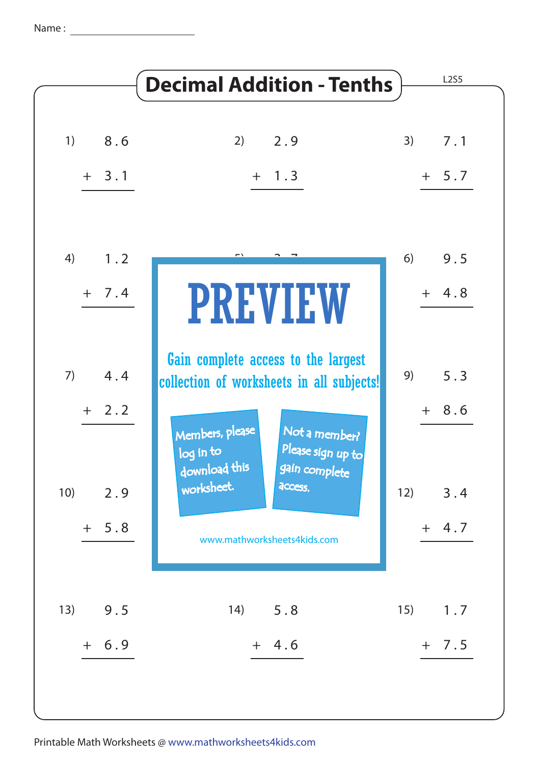